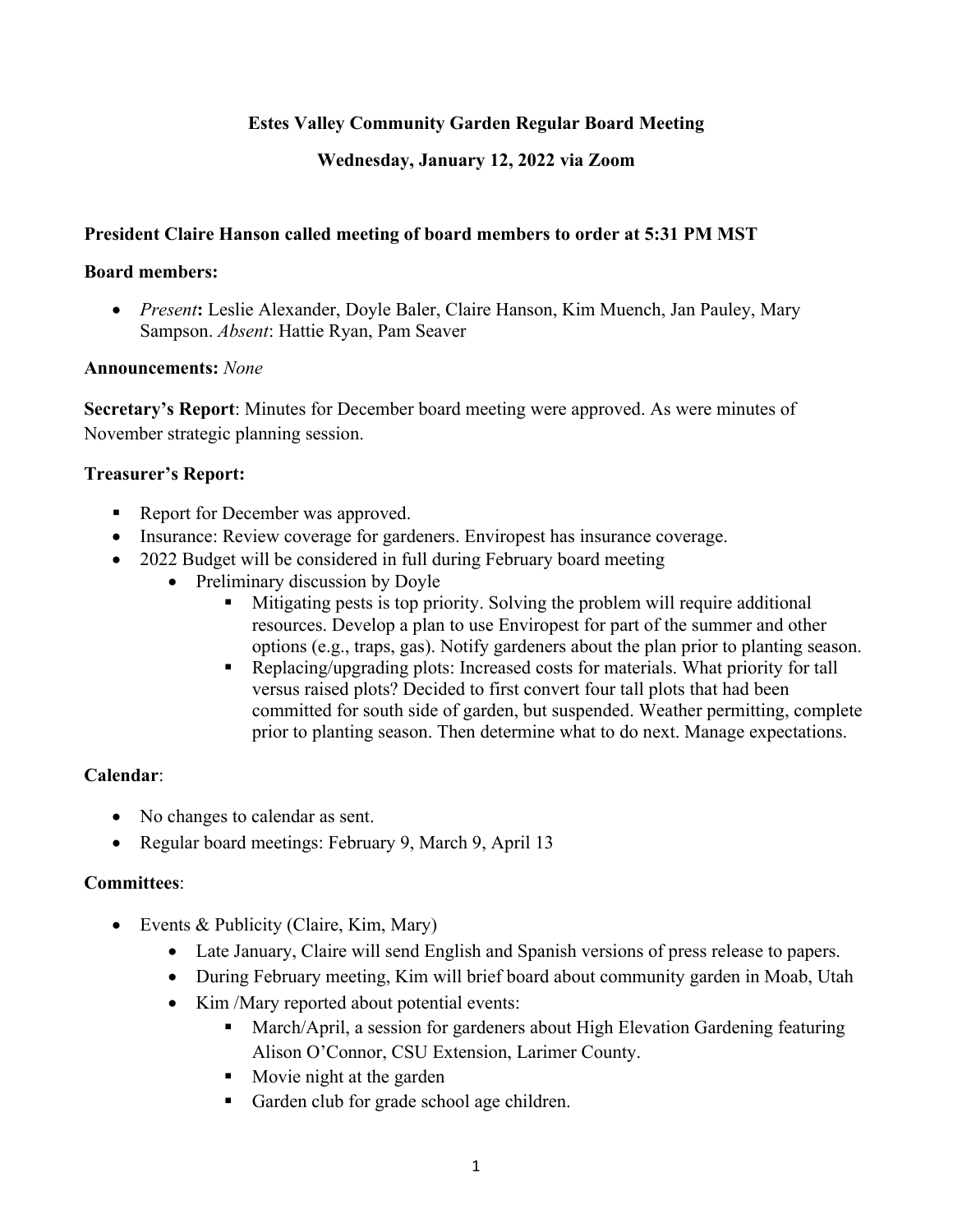# **Wednesday, January 12, 2022 via Zoom**

# **President Claire Hanson called meeting of board members to order at 5:31 PM MST**

### **Board members:**

• *Present*: Leslie Alexander, Doyle Baler, Claire Hanson, Kim Muench, Jan Pauley, Mary Sampson. *Absent*: Hattie Ryan, Pam Seaver

## **Announcements:** *None*

**Secretary's Report**: Minutes for December board meeting were approved. As were minutes of November strategic planning session.

## **Treasurer's Report:**

- Report for December was approved.
- Insurance: Review coverage for gardeners. Enviropest has insurance coverage.
- 2022 Budget will be considered in full during February board meeting
	- Preliminary discussion by Doyle
		- Mitigating pests is top priority. Solving the problem will require additional resources. Develop a plan to use Enviropest for part of the summer and other options (e.g., traps, gas). Notify gardeners about the plan prior to planting season.
		- Replacing/upgrading plots: Increased costs for materials. What priority for tall versus raised plots? Decided to first convert four tall plots that had been committed for south side of garden, but suspended. Weather permitting, complete prior to planting season. Then determine what to do next. Manage expectations.

# **Calendar**:

- No changes to calendar as sent.
- Regular board meetings: February 9, March 9, April 13

- Events & Publicity (Claire, Kim, Mary)
	- Late January, Claire will send English and Spanish versions of press release to papers.
	- During February meeting, Kim will brief board about community garden in Moab, Utah
	- Kim /Mary reported about potential events:
		- March/April, a session for gardeners about High Elevation Gardening featuring Alison O'Connor, CSU Extension, Larimer County.
		- Movie night at the garden
		- Garden club for grade school age children.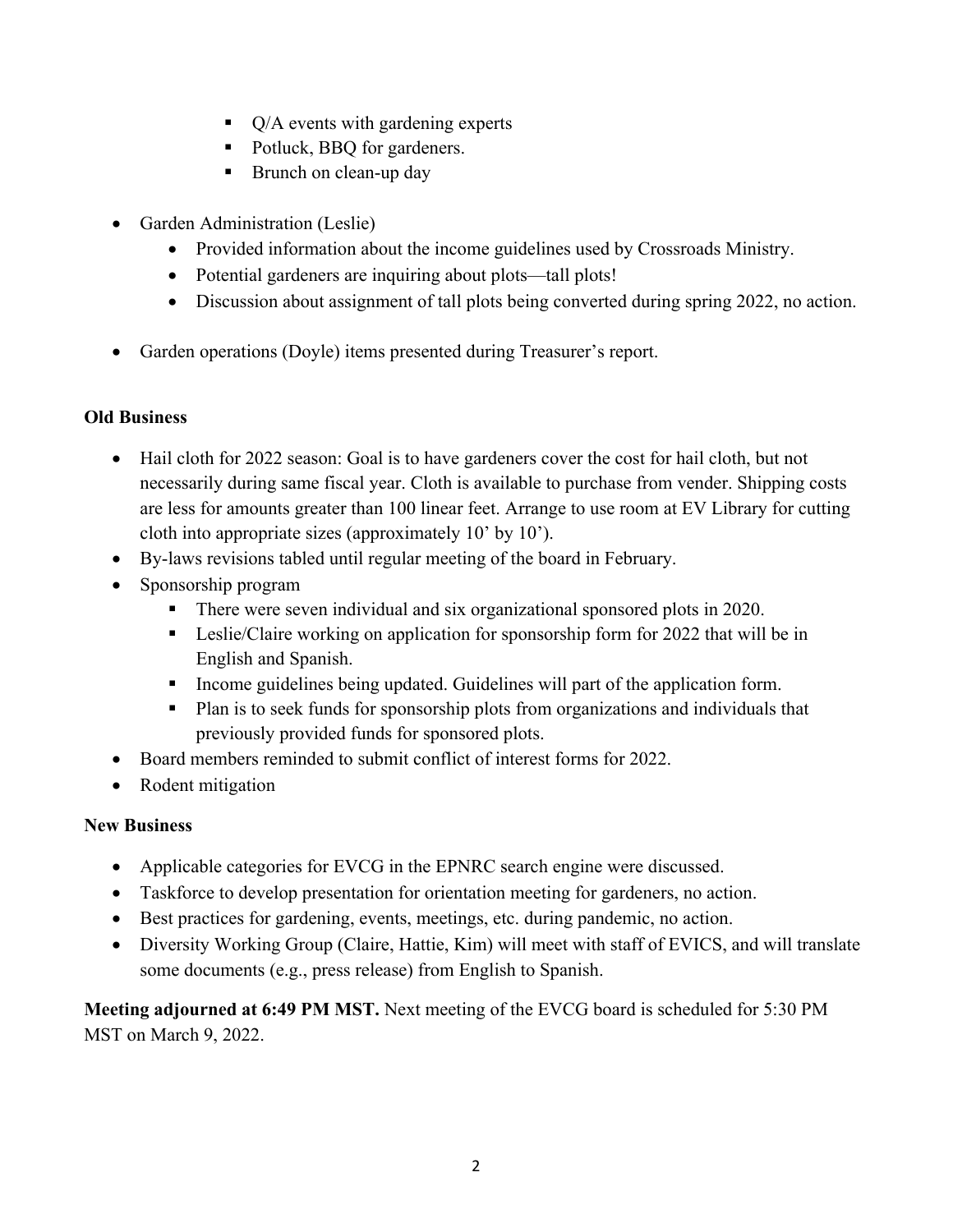- Q/A events with gardening experts
- Potluck, BBQ for gardeners.
- § Brunch on clean-up day
- Garden Administration (Leslie)
	- Provided information about the income guidelines used by Crossroads Ministry.
	- Potential gardeners are inquiring about plots—tall plots!
	- Discussion about assignment of tall plots being converted during spring 2022, no action.
- Garden operations (Doyle) items presented during Treasurer's report.

# **Old Business**

- Hail cloth for 2022 season: Goal is to have gardeners cover the cost for hail cloth, but not necessarily during same fiscal year. Cloth is available to purchase from vender. Shipping costs are less for amounts greater than 100 linear feet. Arrange to use room at EV Library for cutting cloth into appropriate sizes (approximately 10' by 10').
- By-laws revisions tabled until regular meeting of the board in February.
- Sponsorship program
	- There were seven individual and six organizational sponsored plots in 2020.
	- Leslie/Claire working on application for sponsorship form for 2022 that will be in English and Spanish.
	- Income guidelines being updated. Guidelines will part of the application form.
	- Plan is to seek funds for sponsorship plots from organizations and individuals that previously provided funds for sponsored plots.
- Board members reminded to submit conflict of interest forms for 2022.
- Rodent mitigation

# **New Business**

- Applicable categories for EVCG in the EPNRC search engine were discussed.
- Taskforce to develop presentation for orientation meeting for gardeners, no action.
- Best practices for gardening, events, meetings, etc. during pandemic, no action.
- Diversity Working Group (Claire, Hattie, Kim) will meet with staff of EVICS, and will translate some documents (e.g., press release) from English to Spanish.

**Meeting adjourned at 6:49 PM MST.** Next meeting of the EVCG board is scheduled for 5:30 PM MST on March 9, 2022.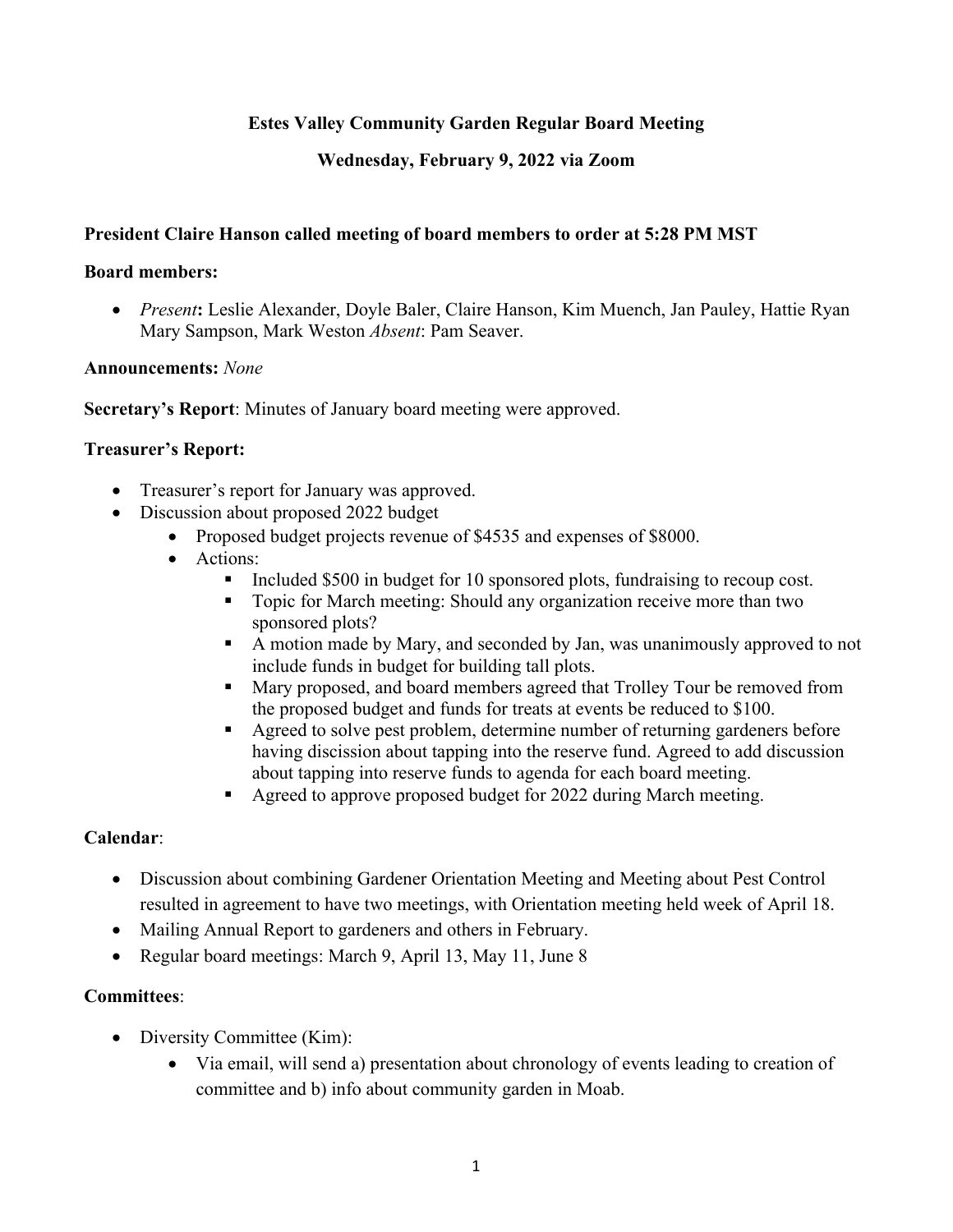# **Wednesday, February 9, 2022 via Zoom**

# **President Claire Hanson called meeting of board members to order at 5:28 PM MST**

### **Board members:**

• *Present***:** Leslie Alexander, Doyle Baler, Claire Hanson, Kim Muench, Jan Pauley, Hattie Ryan Mary Sampson, Mark Weston *Absent*: Pam Seaver.

## **Announcements:** *None*

**Secretary's Report**: Minutes of January board meeting were approved.

## **Treasurer's Report:**

- Treasurer's report for January was approved.
- Discussion about proposed 2022 budget
	- Proposed budget projects revenue of \$4535 and expenses of \$8000.
	- Actions:
		- Included \$500 in budget for 10 sponsored plots, fundraising to recoup cost.
		- § Topic for March meeting: Should any organization receive more than two sponsored plots?
		- A motion made by Mary, and seconded by Jan, was unanimously approved to not include funds in budget for building tall plots.
		- Mary proposed, and board members agreed that Trolley Tour be removed from the proposed budget and funds for treats at events be reduced to \$100.
		- Agreed to solve pest problem, determine number of returning gardeners before having discission about tapping into the reserve fund. Agreed to add discussion about tapping into reserve funds to agenda for each board meeting.
		- Agreed to approve proposed budget for 2022 during March meeting.

# **Calendar**:

- Discussion about combining Gardener Orientation Meeting and Meeting about Pest Control resulted in agreement to have two meetings, with Orientation meeting held week of April 18.
- Mailing Annual Report to gardeners and others in February.
- Regular board meetings: March 9, April 13, May 11, June 8

- Diversity Committee (Kim):
	- Via email, will send a) presentation about chronology of events leading to creation of committee and b) info about community garden in Moab.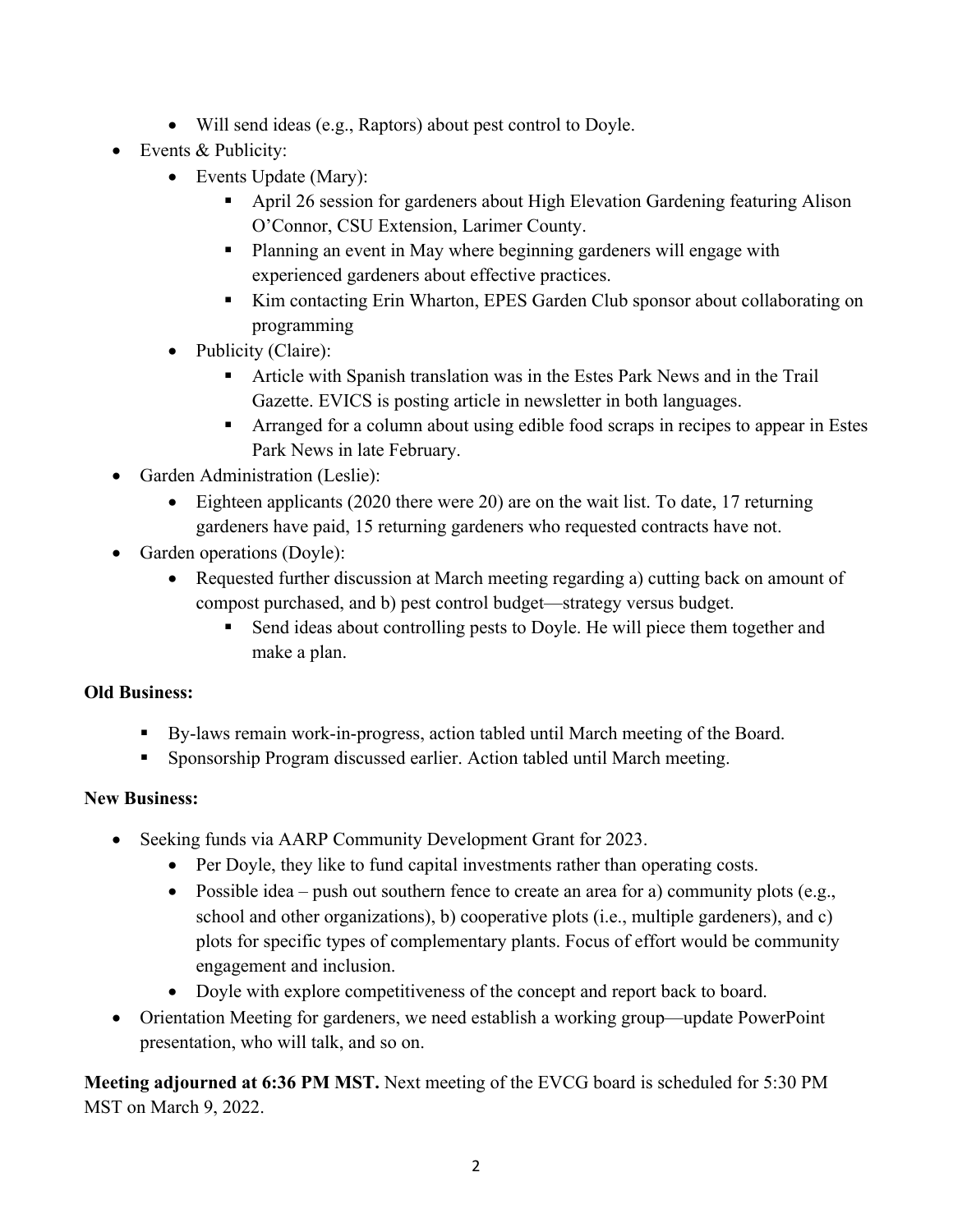- Will send ideas (e.g., Raptors) about pest control to Doyle.
- Events & Publicity:
	- Events Update (Mary):
		- April 26 session for gardeners about High Elevation Gardening featuring Alison O'Connor, CSU Extension, Larimer County.
		- Planning an event in May where beginning gardeners will engage with experienced gardeners about effective practices.
		- § Kim contacting Erin Wharton, EPES Garden Club sponsor about collaborating on programming
	- Publicity (Claire):
		- Article with Spanish translation was in the Estes Park News and in the Trail Gazette. EVICS is posting article in newsletter in both languages.
		- Arranged for a column about using edible food scraps in recipes to appear in Estes Park News in late February.
- Garden Administration (Leslie):
	- Eighteen applicants (2020 there were 20) are on the wait list. To date, 17 returning gardeners have paid, 15 returning gardeners who requested contracts have not.
- Garden operations (Doyle):
	- Requested further discussion at March meeting regarding a) cutting back on amount of compost purchased, and b) pest control budget—strategy versus budget.
		- Send ideas about controlling pests to Doyle. He will piece them together and make a plan.

# **Old Business:**

- By-laws remain work-in-progress, action tabled until March meeting of the Board.
- Sponsorship Program discussed earlier. Action tabled until March meeting.

# **New Business:**

- Seeking funds via AARP Community Development Grant for 2023.
	- Per Doyle, they like to fund capital investments rather than operating costs.
	- Possible idea push out southern fence to create an area for a) community plots (e.g., school and other organizations), b) cooperative plots (i.e., multiple gardeners), and c) plots for specific types of complementary plants. Focus of effort would be community engagement and inclusion.
	- Doyle with explore competitiveness of the concept and report back to board.
- Orientation Meeting for gardeners, we need establish a working group—update PowerPoint presentation, who will talk, and so on.

**Meeting adjourned at 6:36 PM MST.** Next meeting of the EVCG board is scheduled for 5:30 PM MST on March 9, 2022.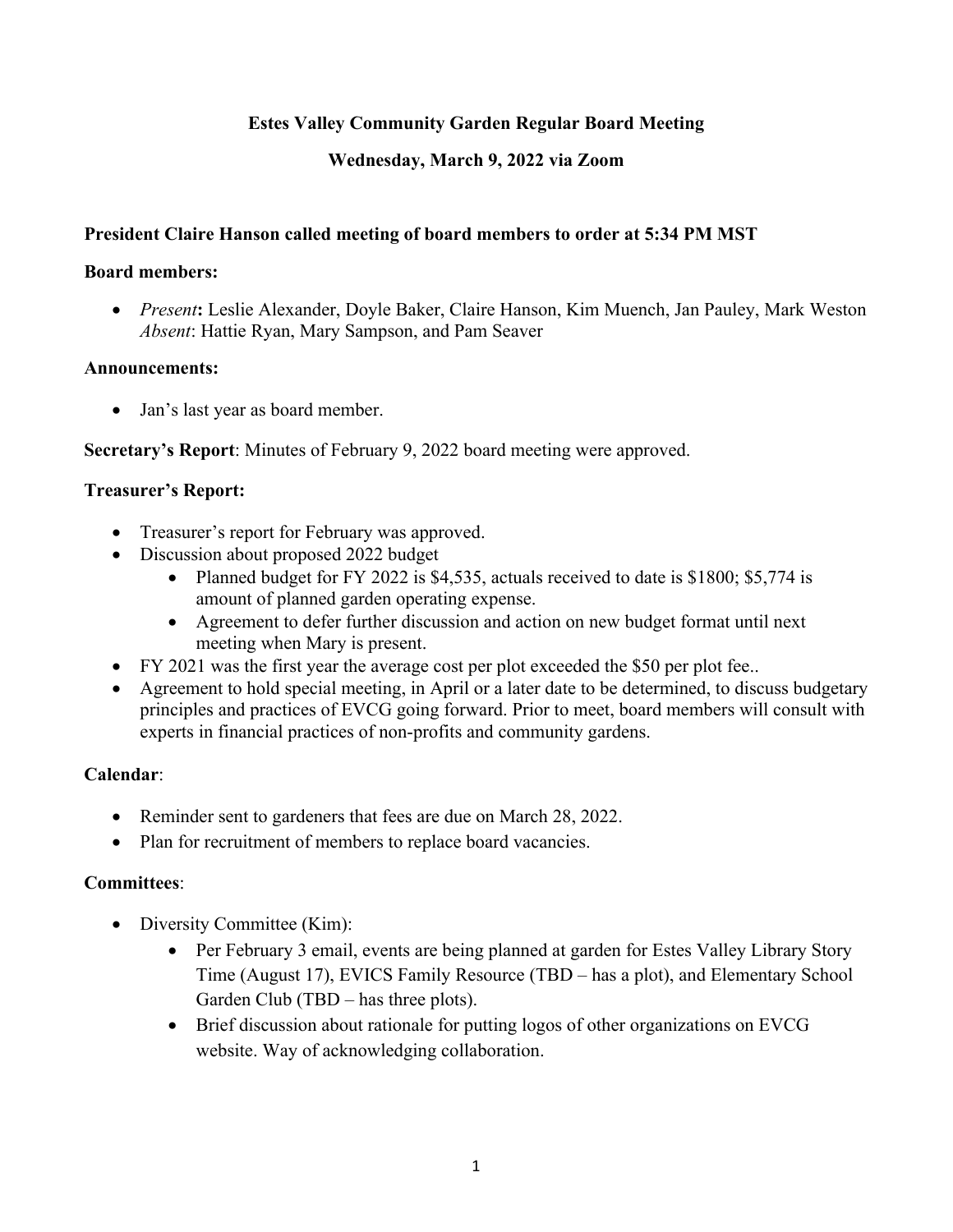# **Wednesday, March 9, 2022 via Zoom**

## **President Claire Hanson called meeting of board members to order at 5:34 PM MST**

#### **Board members:**

• *Present***:** Leslie Alexander, Doyle Baker, Claire Hanson, Kim Muench, Jan Pauley, Mark Weston *Absent*: Hattie Ryan, Mary Sampson, and Pam Seaver

#### **Announcements:**

• Jan's last year as board member.

**Secretary's Report**: Minutes of February 9, 2022 board meeting were approved.

### **Treasurer's Report:**

- Treasurer's report for February was approved.
- Discussion about proposed 2022 budget
	- Planned budget for FY 2022 is \$4,535, actuals received to date is \$1800; \$5,774 is amount of planned garden operating expense.
	- Agreement to defer further discussion and action on new budget format until next meeting when Mary is present.
- FY 2021 was the first year the average cost per plot exceeded the \$50 per plot fee..
- Agreement to hold special meeting, in April or a later date to be determined, to discuss budgetary principles and practices of EVCG going forward. Prior to meet, board members will consult with experts in financial practices of non-profits and community gardens.

### **Calendar**:

- Reminder sent to gardeners that fees are due on March 28, 2022.
- Plan for recruitment of members to replace board vacancies.

- Diversity Committee (Kim):
	- Per February 3 email, events are being planned at garden for Estes Valley Library Story Time (August 17), EVICS Family Resource (TBD – has a plot), and Elementary School Garden Club (TBD – has three plots).
	- Brief discussion about rationale for putting logos of other organizations on EVCG website. Way of acknowledging collaboration.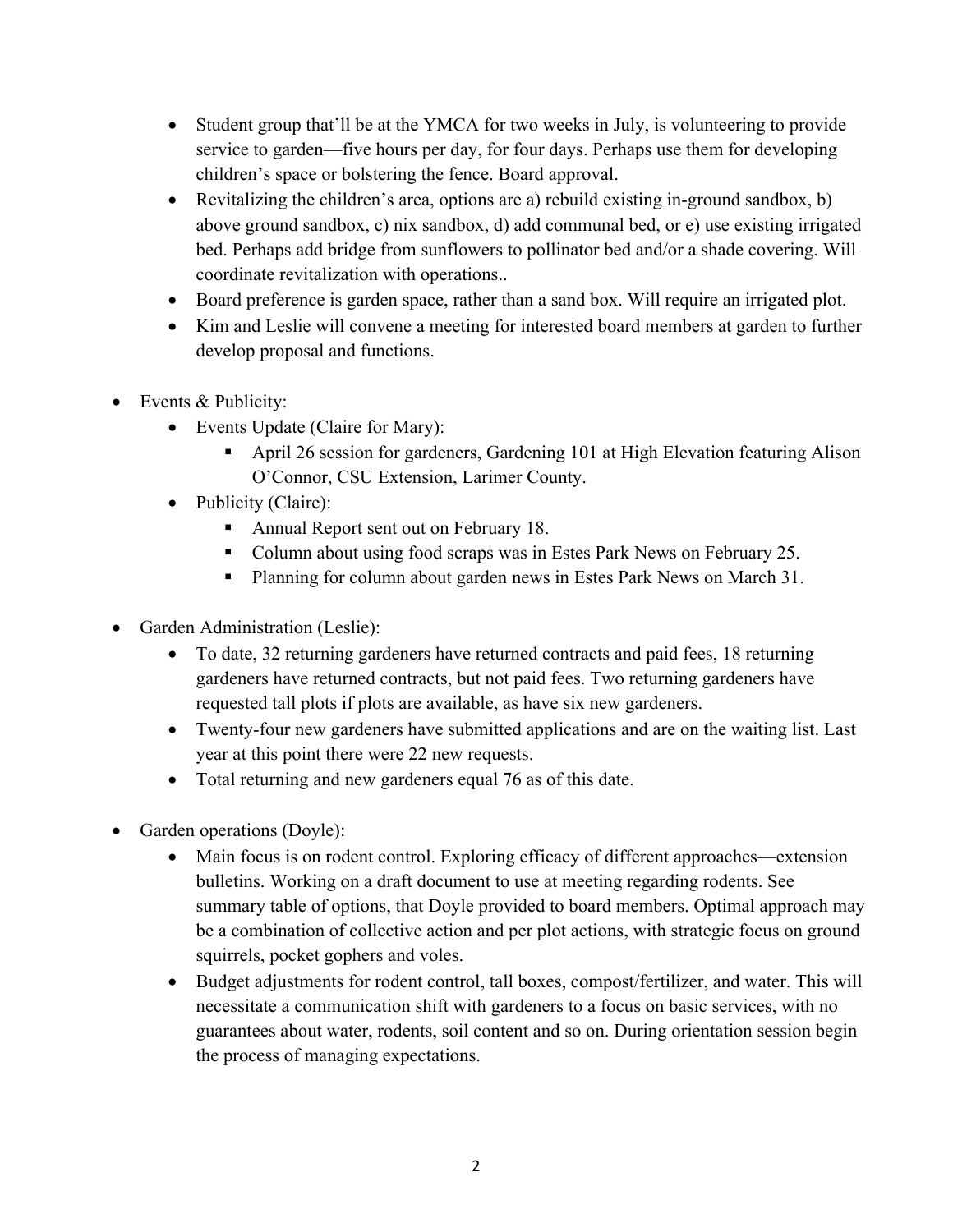- Student group that'll be at the YMCA for two weeks in July, is volunteering to provide service to garden—five hours per day, for four days. Perhaps use them for developing children's space or bolstering the fence. Board approval.
- Revitalizing the children's area, options are a) rebuild existing in-ground sandbox, b) above ground sandbox, c) nix sandbox, d) add communal bed, or e) use existing irrigated bed. Perhaps add bridge from sunflowers to pollinator bed and/or a shade covering. Will coordinate revitalization with operations..
- Board preference is garden space, rather than a sand box. Will require an irrigated plot.
- Kim and Leslie will convene a meeting for interested board members at garden to further develop proposal and functions.
- Events & Publicity:
	- Events Update (Claire for Mary):
		- April 26 session for gardeners, Gardening 101 at High Elevation featuring Alison O'Connor, CSU Extension, Larimer County.
	- Publicity (Claire):
		- Annual Report sent out on February 18.
		- Column about using food scraps was in Estes Park News on February 25.
		- Planning for column about garden news in Estes Park News on March 31.
- Garden Administration (Leslie):
	- To date, 32 returning gardeners have returned contracts and paid fees, 18 returning gardeners have returned contracts, but not paid fees. Two returning gardeners have requested tall plots if plots are available, as have six new gardeners.
	- Twenty-four new gardeners have submitted applications and are on the waiting list. Last year at this point there were 22 new requests.
	- Total returning and new gardeners equal 76 as of this date.
- Garden operations (Doyle):
	- Main focus is on rodent control. Exploring efficacy of different approaches—extension bulletins. Working on a draft document to use at meeting regarding rodents. See summary table of options, that Doyle provided to board members. Optimal approach may be a combination of collective action and per plot actions, with strategic focus on ground squirrels, pocket gophers and voles.
	- Budget adjustments for rodent control, tall boxes, compost/fertilizer, and water. This will necessitate a communication shift with gardeners to a focus on basic services, with no guarantees about water, rodents, soil content and so on. During orientation session begin the process of managing expectations.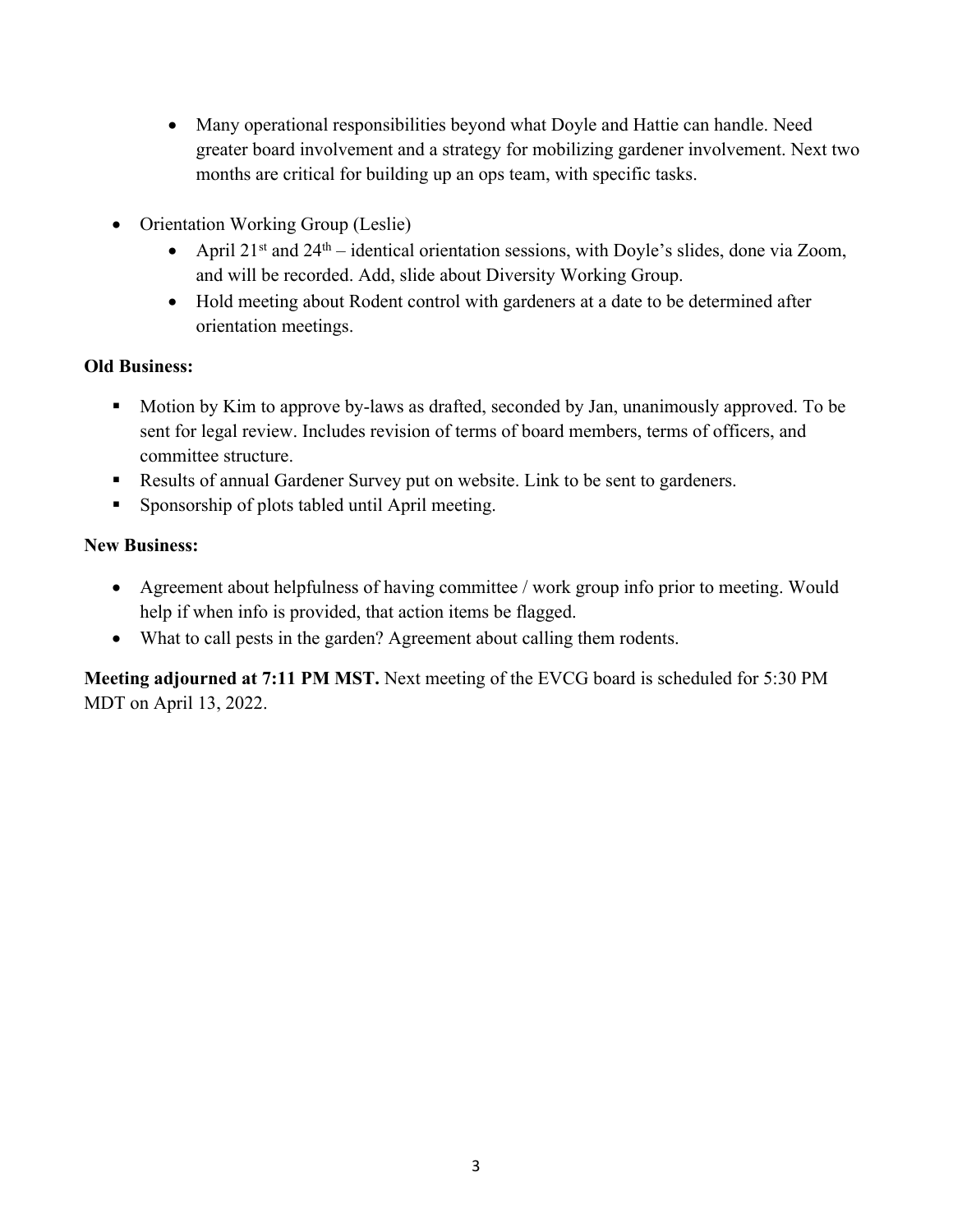- Many operational responsibilities beyond what Doyle and Hattie can handle. Need greater board involvement and a strategy for mobilizing gardener involvement. Next two months are critical for building up an ops team, with specific tasks.
- Orientation Working Group (Leslie)
	- April 21<sup>st</sup> and 24<sup>th</sup> identical orientation sessions, with Doyle's slides, done via Zoom, and will be recorded. Add, slide about Diversity Working Group.
	- Hold meeting about Rodent control with gardeners at a date to be determined after orientation meetings.

# **Old Business:**

- § Motion by Kim to approve by-laws as drafted, seconded by Jan, unanimously approved. To be sent for legal review. Includes revision of terms of board members, terms of officers, and committee structure.
- Results of annual Gardener Survey put on website. Link to be sent to gardeners.
- Sponsorship of plots tabled until April meeting.

# **New Business:**

- Agreement about helpfulness of having committee / work group info prior to meeting. Would help if when info is provided, that action items be flagged.
- What to call pests in the garden? Agreement about calling them rodents.

**Meeting adjourned at 7:11 PM MST.** Next meeting of the EVCG board is scheduled for 5:30 PM MDT on April 13, 2022.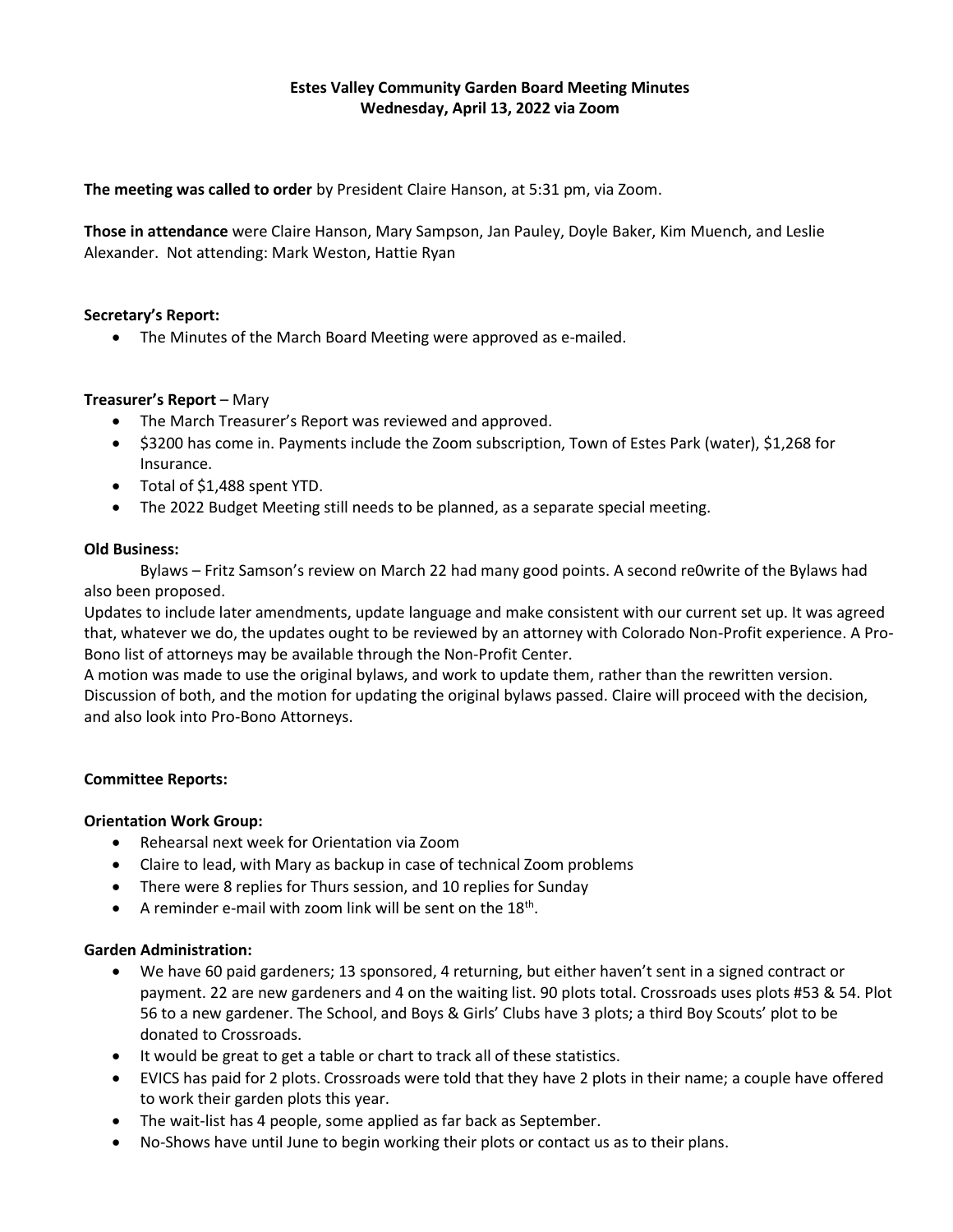#### **Estes Valley Community Garden Board Meeting Minutes Wednesday, April 13, 2022 via Zoom**

**The meeting was called to order** by President Claire Hanson, at 5:31 pm, via Zoom.

**Those in attendance** were Claire Hanson, Mary Sampson, Jan Pauley, Doyle Baker, Kim Muench, and Leslie Alexander. Not attending: Mark Weston, Hattie Ryan

#### **Secretary's Report:**

• The Minutes of the March Board Meeting were approved as e-mailed.

#### **Treasurer's Report** – Mary

- The March Treasurer's Report was reviewed and approved.
- \$3200 has come in. Payments include the Zoom subscription, Town of Estes Park (water), \$1,268 for Insurance.
- Total of \$1,488 spent YTD.
- The 2022 Budget Meeting still needs to be planned, as a separate special meeting.

#### **Old Business:**

Bylaws – Fritz Samson's review on March 22 had many good points. A second re0write of the Bylaws had also been proposed.

Updates to include later amendments, update language and make consistent with our current set up. It was agreed that, whatever we do, the updates ought to be reviewed by an attorney with Colorado Non-Profit experience. A Pro-Bono list of attorneys may be available through the Non-Profit Center.

A motion was made to use the original bylaws, and work to update them, rather than the rewritten version. Discussion of both, and the motion for updating the original bylaws passed. Claire will proceed with the decision, and also look into Pro-Bono Attorneys.

#### **Committee Reports:**

#### **Orientation Work Group:**

- Rehearsal next week for Orientation via Zoom
- Claire to lead, with Mary as backup in case of technical Zoom problems
- There were 8 replies for Thurs session, and 10 replies for Sunday
- $\bullet$  A reminder e-mail with zoom link will be sent on the 18<sup>th</sup>.

#### **Garden Administration:**

- We have 60 paid gardeners; 13 sponsored, 4 returning, but either haven't sent in a signed contract or payment. 22 are new gardeners and 4 on the waiting list. 90 plots total. Crossroads uses plots #53 & 54. Plot 56 to a new gardener. The School, and Boys & Girls' Clubs have 3 plots; a third Boy Scouts' plot to be donated to Crossroads.
- It would be great to get a table or chart to track all of these statistics.
- EVICS has paid for 2 plots. Crossroads were told that they have 2 plots in their name; a couple have offered to work their garden plots this year.
- The wait-list has 4 people, some applied as far back as September.
- No-Shows have until June to begin working their plots or contact us as to their plans.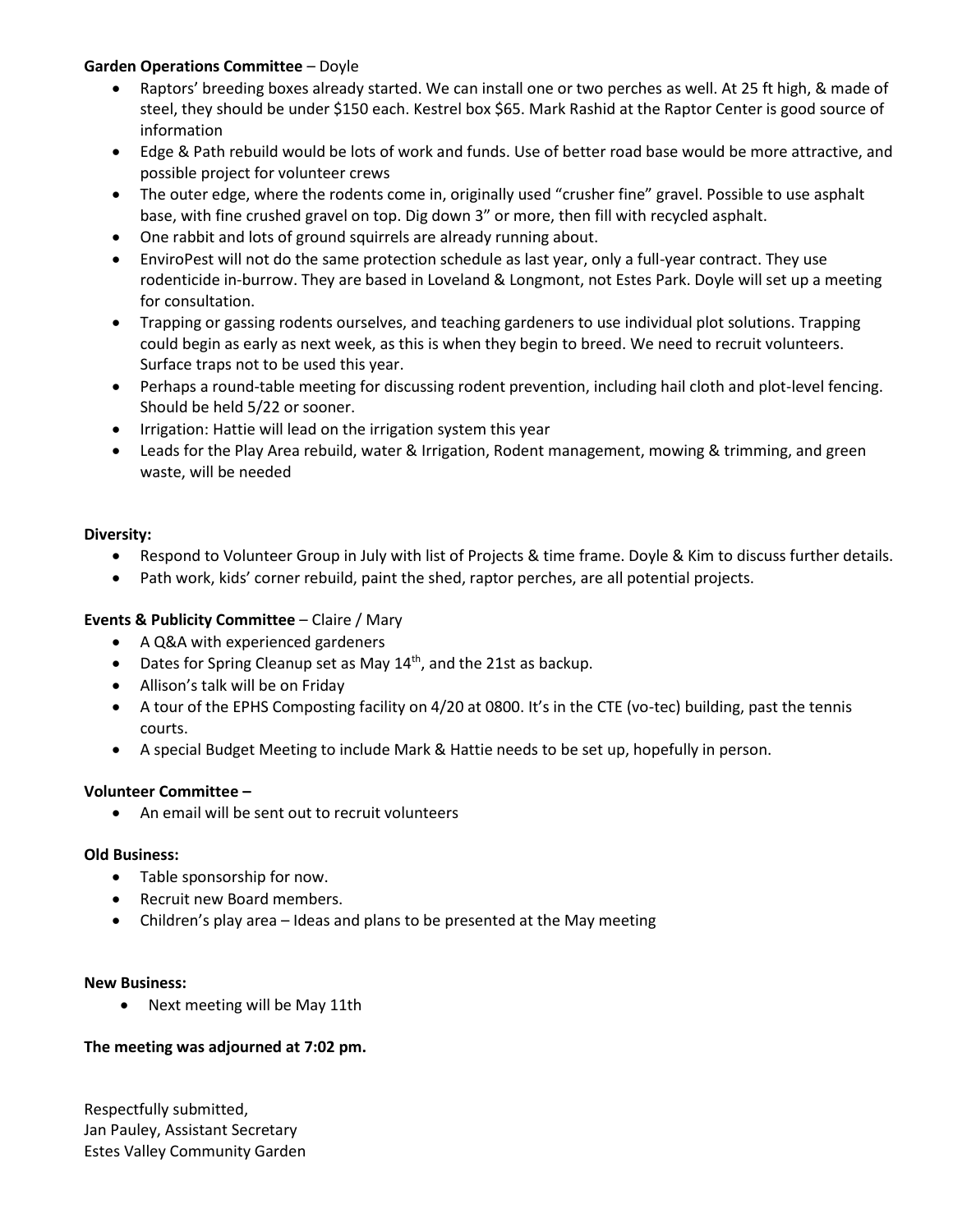#### **Garden Operations Committee** – Doyle

- Raptors' breeding boxes already started. We can install one or two perches as well. At 25 ft high, & made of steel, they should be under \$150 each. Kestrel box \$65. Mark Rashid at the Raptor Center is good source of information
- Edge & Path rebuild would be lots of work and funds. Use of better road base would be more attractive, and possible project for volunteer crews
- The outer edge, where the rodents come in, originally used "crusher fine" gravel. Possible to use asphalt base, with fine crushed gravel on top. Dig down 3" or more, then fill with recycled asphalt.
- One rabbit and lots of ground squirrels are already running about.
- EnviroPest will not do the same protection schedule as last year, only a full-year contract. They use rodenticide in-burrow. They are based in Loveland & Longmont, not Estes Park. Doyle will set up a meeting for consultation.
- Trapping or gassing rodents ourselves, and teaching gardeners to use individual plot solutions. Trapping could begin as early as next week, as this is when they begin to breed. We need to recruit volunteers. Surface traps not to be used this year.
- Perhaps a round-table meeting for discussing rodent prevention, including hail cloth and plot-level fencing. Should be held 5/22 or sooner.
- Irrigation: Hattie will lead on the irrigation system this year
- Leads for the Play Area rebuild, water & Irrigation, Rodent management, mowing & trimming, and green waste, will be needed

#### **Diversity:**

- Respond to Volunteer Group in July with list of Projects & time frame. Doyle & Kim to discuss further details.
- Path work, kids' corner rebuild, paint the shed, raptor perches, are all potential projects.

#### **Events & Publicity Committee** – Claire / Mary

- A Q&A with experienced gardeners
- Dates for Spring Cleanup set as May  $14<sup>th</sup>$ , and the 21st as backup.
- Allison's talk will be on Friday
- A tour of the EPHS Composting facility on 4/20 at 0800. It's in the CTE (vo-tec) building, past the tennis courts.
- A special Budget Meeting to include Mark & Hattie needs to be set up, hopefully in person.

#### **Volunteer Committee –**

• An email will be sent out to recruit volunteers

#### **Old Business:**

- Table sponsorship for now.
- Recruit new Board members.
- Children's play area Ideas and plans to be presented at the May meeting

#### **New Business:**

• Next meeting will be May 11th

#### **The meeting was adjourned at 7:02 pm.**

Respectfully submitted, Jan Pauley, Assistant Secretary Estes Valley Community Garden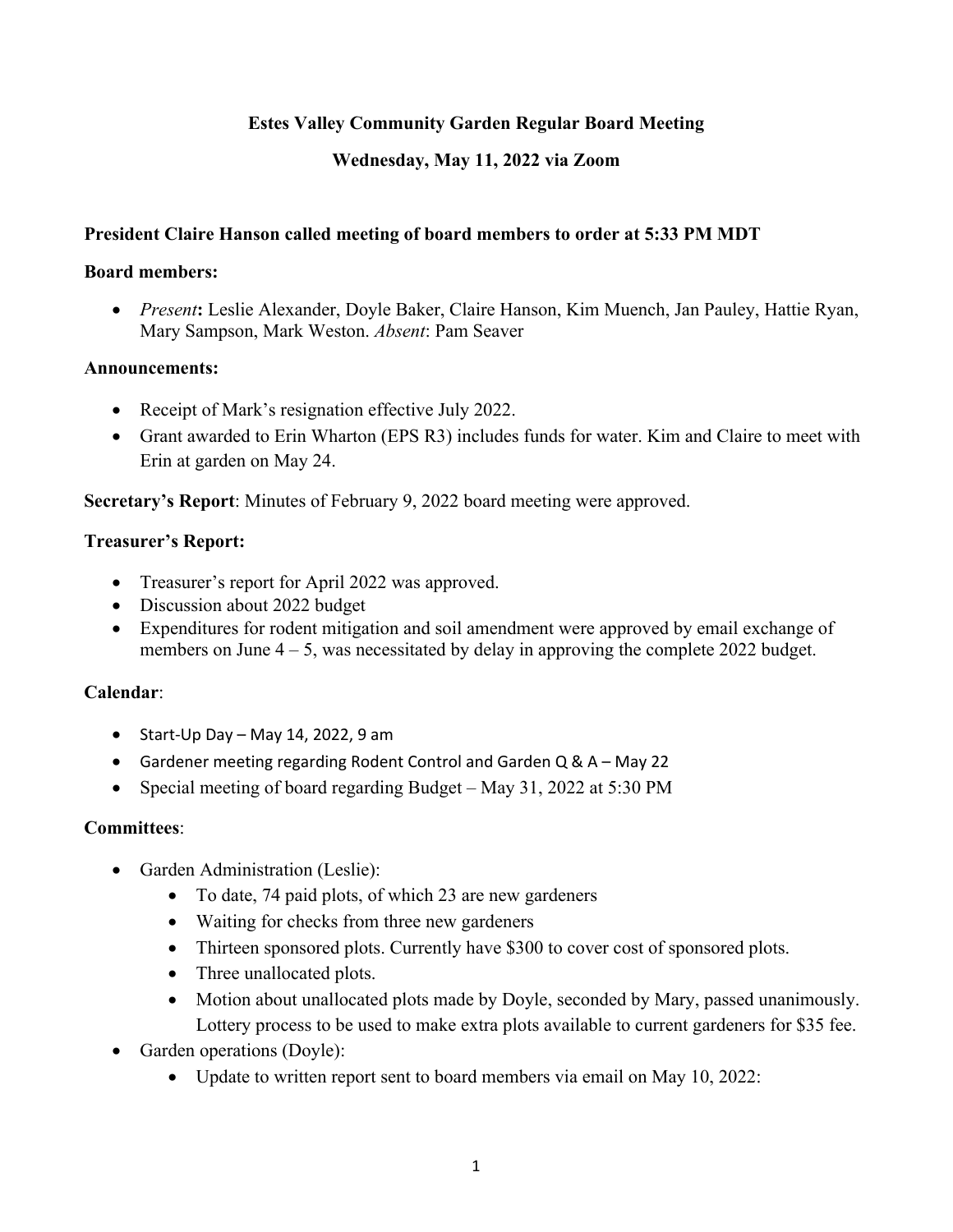# **Wednesday, May 11, 2022 via Zoom**

# **President Claire Hanson called meeting of board members to order at 5:33 PM MDT**

### **Board members:**

• *Present***:** Leslie Alexander, Doyle Baker, Claire Hanson, Kim Muench, Jan Pauley, Hattie Ryan, Mary Sampson, Mark Weston. *Absent*: Pam Seaver

## **Announcements:**

- Receipt of Mark's resignation effective July 2022.
- Grant awarded to Erin Wharton (EPS R3) includes funds for water. Kim and Claire to meet with Erin at garden on May 24.

**Secretary's Report**: Minutes of February 9, 2022 board meeting were approved.

# **Treasurer's Report:**

- Treasurer's report for April 2022 was approved.
- Discussion about 2022 budget
- Expenditures for rodent mitigation and soil amendment were approved by email exchange of members on June  $4 - 5$ , was necessitated by delay in approving the complete 2022 budget.

# **Calendar**:

- Start-Up Day May 14, 2022, 9 am
- Gardener meeting regarding Rodent Control and Garden Q & A May 22
- Special meeting of board regarding Budget May 31, 2022 at 5:30 PM

- Garden Administration (Leslie):
	- To date, 74 paid plots, of which 23 are new gardeners
	- Waiting for checks from three new gardeners
	- Thirteen sponsored plots. Currently have \$300 to cover cost of sponsored plots.
	- Three unallocated plots.
	- Motion about unallocated plots made by Doyle, seconded by Mary, passed unanimously. Lottery process to be used to make extra plots available to current gardeners for \$35 fee.
- Garden operations (Doyle):
	- Update to written report sent to board members via email on May 10, 2022: